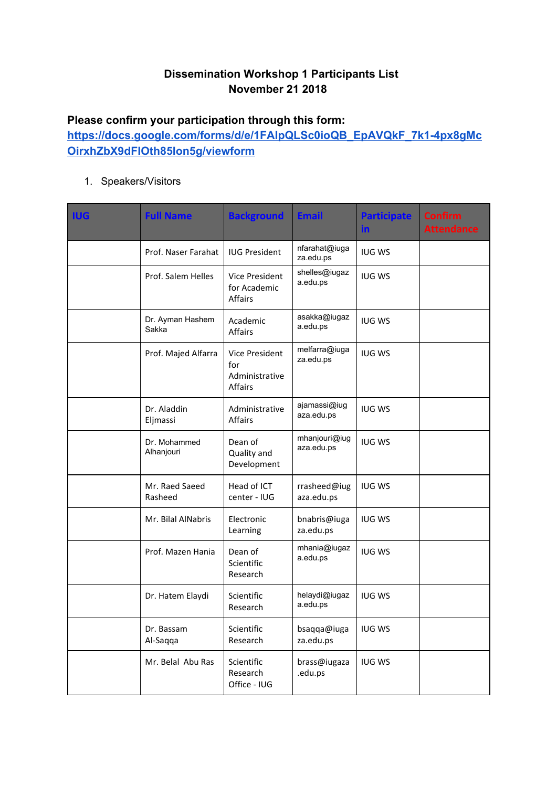## **Dissemination Workshop 1 Participants List November 21 2018**

## **Please confirm your participation through this form:**

**[https://docs.google.com/forms/d/e/1FAIpQLSc0ioQB\\_EpAVQkF\\_7k1-4px8gMc](https://docs.google.com/forms/d/e/1FAIpQLSc0ioQB_EpAVQkF_7k1-4px8gMcOirxhZbX9dFIOth85Ion5g/viewform) [OirxhZbX9dFIOth85Ion5g/viewform](https://docs.google.com/forms/d/e/1FAIpQLSc0ioQB_EpAVQkF_7k1-4px8gMcOirxhZbX9dFIOth85Ion5g/viewform)**

1. Speakers/Visitors

| <b>IUG</b> | <b>Full Name</b>           | <b>Background</b>                                         | <b>Email</b>                | <b>Participate</b><br><u>in</u> | <b>Confirm</b><br><b>Attendance</b> |
|------------|----------------------------|-----------------------------------------------------------|-----------------------------|---------------------------------|-------------------------------------|
|            | Prof. Naser Farahat        | <b>IUG President</b>                                      | nfarahat@iuga<br>za.edu.ps  | <b>IUG WS</b>                   |                                     |
|            | Prof. Salem Helles         | Vice President<br>for Academic<br>Affairs                 | shelles@iugaz<br>a.edu.ps   | <b>IUG WS</b>                   |                                     |
|            | Dr. Ayman Hashem<br>Sakka  | Academic<br><b>Affairs</b>                                | asakka@iugaz<br>a.edu.ps    | <b>IUG WS</b>                   |                                     |
|            | Prof. Majed Alfarra        | Vice President<br>for<br>Administrative<br><b>Affairs</b> | melfarra@iuga<br>za.edu.ps  | <b>IUG WS</b>                   |                                     |
|            | Dr. Aladdin<br>Eljmassi    | Administrative<br>Affairs                                 | ajamassi@iug<br>aza.edu.ps  | <b>IUG WS</b>                   |                                     |
|            | Dr. Mohammed<br>Alhanjouri | Dean of<br>Quality and<br>Development                     | mhanjouri@iug<br>aza.edu.ps | <b>IUG WS</b>                   |                                     |
|            | Mr. Raed Saeed<br>Rasheed  | Head of ICT<br>center - IUG                               | rrasheed@iug<br>aza.edu.ps  | <b>IUG WS</b>                   |                                     |
|            | Mr. Bilal AlNabris         | Electronic<br>Learning                                    | bnabris@iuga<br>za.edu.ps   | <b>IUG WS</b>                   |                                     |
|            | Prof. Mazen Hania          | Dean of<br>Scientific<br>Research                         | mhania@iugaz<br>a.edu.ps    | <b>IUG WS</b>                   |                                     |
|            | Dr. Hatem Elaydi           | Scientific<br>Research                                    | helaydi@iugaz<br>a.edu.ps   | <b>IUG WS</b>                   |                                     |
|            | Dr. Bassam<br>Al-Saqqa     | Scientific<br>Research                                    | bsaqqa@iuga<br>za.edu.ps    | <b>IUG WS</b>                   |                                     |
|            | Mr. Belal Abu Ras          | Scientific<br>Research<br>Office - IUG                    | brass@iugaza<br>.edu.ps     | <b>IUG WS</b>                   |                                     |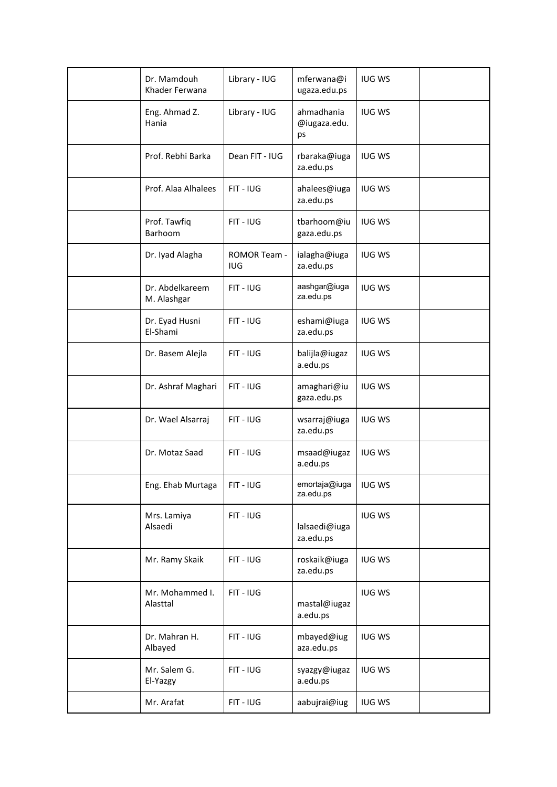| Dr. Mamdouh<br>Khader Ferwana  | Library - IUG              | mferwana@i<br>ugaza.edu.ps       | <b>IUG WS</b> |  |
|--------------------------------|----------------------------|----------------------------------|---------------|--|
| Eng. Ahmad Z.<br>Hania         | Library - IUG              | ahmadhania<br>@iugaza.edu.<br>ps | <b>IUG WS</b> |  |
| Prof. Rebhi Barka              | Dean FIT - IUG             | rbaraka@iuga<br>za.edu.ps        | <b>IUG WS</b> |  |
| Prof. Alaa Alhalees            | $FIT - IUG$                | ahalees@iuga<br>za.edu.ps        | <b>IUG WS</b> |  |
| Prof. Tawfiq<br>Barhoom        | $FIT - IUG$                | tbarhoom@iu<br>gaza.edu.ps       | <b>IUG WS</b> |  |
| Dr. Iyad Alagha                | ROMOR Team -<br><b>IUG</b> | ialagha@iuga<br>za.edu.ps        | <b>IUG WS</b> |  |
| Dr. Abdelkareem<br>M. Alashgar | $FIT - IUG$                | aashgar@iuga<br>za.edu.ps        | <b>IUG WS</b> |  |
| Dr. Eyad Husni<br>El-Shami     | $FIT - IUG$                | eshami@iuga<br>za.edu.ps         | <b>IUG WS</b> |  |
| Dr. Basem Alejla               | $FIT - IUG$                | balijla@iugaz<br>a.edu.ps        | <b>IUG WS</b> |  |
| Dr. Ashraf Maghari             | $FIT - IUG$                | amaghari@iu<br>gaza.edu.ps       | <b>IUG WS</b> |  |
| Dr. Wael Alsarraj              | FIT - IUG                  | wsarraj@iuga<br>za.edu.ps        | <b>IUG WS</b> |  |
| Dr. Motaz Saad                 | FIT - IUG                  | msaad@iugaz<br>a.edu.ps          | <b>IUG WS</b> |  |
| Eng. Ehab Murtaga              | FIT - IUG                  | emortaja@iuga<br>za.edu.ps       | <b>IUG WS</b> |  |
| Mrs. Lamiya<br>Alsaedi         | FIT - IUG                  | lalsaedi@iuga<br>za.edu.ps       | <b>IUG WS</b> |  |
| Mr. Ramy Skaik                 | FIT - IUG                  | roskaik@iuga<br>za.edu.ps        | <b>IUG WS</b> |  |
| Mr. Mohammed I.<br>Alasttal    | FIT - IUG                  | mastal@iugaz<br>a.edu.ps         | <b>IUG WS</b> |  |
| Dr. Mahran H.<br>Albayed       | FIT - IUG                  | mbayed@iug<br>aza.edu.ps         | <b>IUG WS</b> |  |
| Mr. Salem G.<br>El-Yazgy       | FIT - IUG                  | syazgy@iugaz<br>a.edu.ps         | <b>IUG WS</b> |  |
| Mr. Arafat                     | FIT - IUG                  | aabujrai@iug                     | <b>IUG WS</b> |  |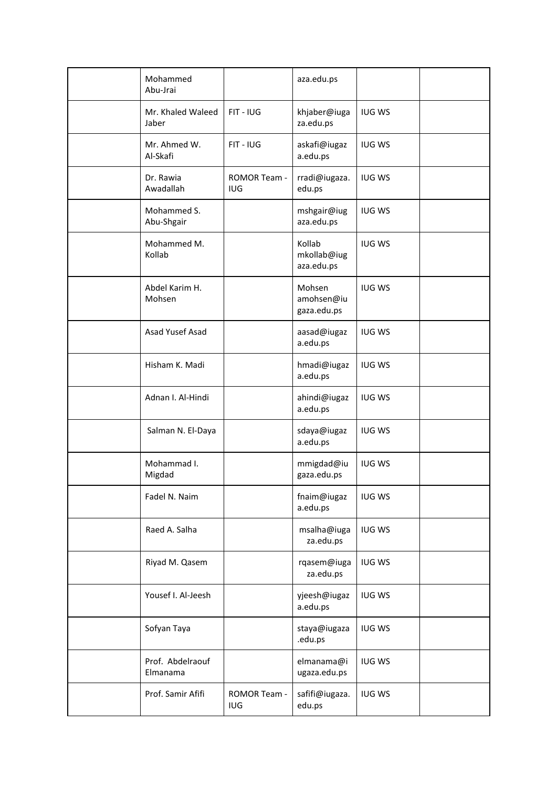| Mohammed<br>Abu-Jrai         |                                   | aza.edu.ps                          |               |  |
|------------------------------|-----------------------------------|-------------------------------------|---------------|--|
| Mr. Khaled Waleed<br>Jaber   | FIT - IUG                         | khjaber@iuga<br>za.edu.ps           | <b>IUG WS</b> |  |
| Mr. Ahmed W.<br>Al-Skafi     | FIT - IUG                         | askafi@iugaz<br>a.edu.ps            | <b>IUG WS</b> |  |
| Dr. Rawia<br>Awadallah       | <b>ROMOR Team -</b><br><b>IUG</b> | rradi@iugaza.<br>edu.ps             | <b>IUG WS</b> |  |
| Mohammed S.<br>Abu-Shgair    |                                   | mshgair@iug<br>aza.edu.ps           | <b>IUG WS</b> |  |
| Mohammed M.<br>Kollab        |                                   | Kollab<br>mkollab@iug<br>aza.edu.ps | <b>IUG WS</b> |  |
| Abdel Karim H.<br>Mohsen     |                                   | Mohsen<br>amohsen@iu<br>gaza.edu.ps | <b>IUG WS</b> |  |
| Asad Yusef Asad              |                                   | aasad@iugaz<br>a.edu.ps             | <b>IUG WS</b> |  |
| Hisham K. Madi               |                                   | hmadi@iugaz<br>a.edu.ps             | <b>IUG WS</b> |  |
| Adnan I. Al-Hindi            |                                   | ahindi@iugaz<br>a.edu.ps            | <b>IUG WS</b> |  |
| Salman N. El-Daya            |                                   | sdaya@iugaz<br>a.edu.ps             | <b>IUG WS</b> |  |
| Mohammad I.<br>Migdad        |                                   | mmigdad@iu<br>gaza.edu.ps           | <b>IUG WS</b> |  |
| Fadel N. Naim                |                                   | fnaim@iugaz<br>a.edu.ps             | <b>IUG WS</b> |  |
| Raed A. Salha                |                                   | msalha@iuga<br>za.edu.ps            | <b>IUG WS</b> |  |
| Riyad M. Qasem               |                                   | rqasem@iuga<br>za.edu.ps            | <b>IUG WS</b> |  |
| Yousef I. Al-Jeesh           |                                   | yjeesh@iugaz<br>a.edu.ps            | <b>IUG WS</b> |  |
| Sofyan Taya                  |                                   | staya@iugaza<br>.edu.ps             | <b>IUG WS</b> |  |
| Prof. Abdelraouf<br>Elmanama |                                   | elmanama@i<br>ugaza.edu.ps          | <b>IUG WS</b> |  |
| Prof. Samir Afifi            | ROMOR Team -<br><b>IUG</b>        | safifi@iugaza.<br>edu.ps            | <b>IUG WS</b> |  |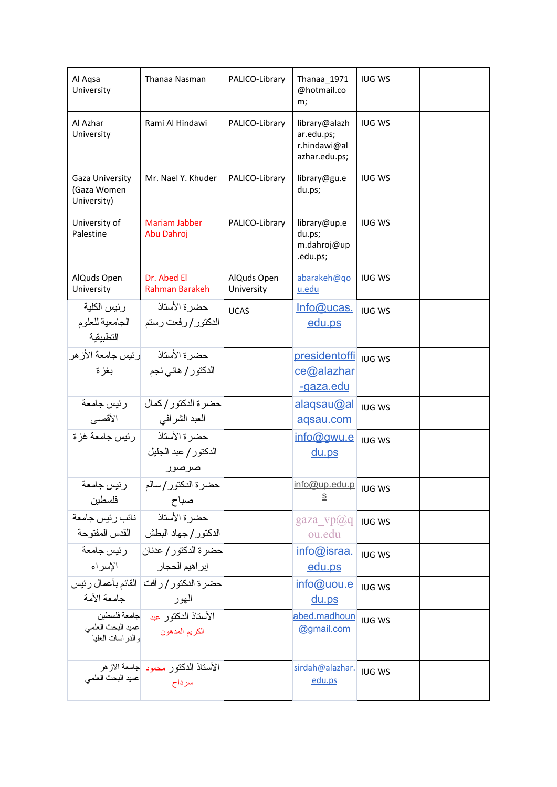| Al Aqsa<br>University                             | Thanaa Nasman                                                 | PALICO-Library            | Thanaa_1971<br>@hotmail.co<br>m;                             | <b>IUG WS</b> |  |
|---------------------------------------------------|---------------------------------------------------------------|---------------------------|--------------------------------------------------------------|---------------|--|
| Al Azhar<br>University                            | Rami Al Hindawi                                               | PALICO-Library            | library@alazh<br>ar.edu.ps;<br>r.hindawi@al<br>azhar.edu.ps; | <b>IUG WS</b> |  |
| Gaza University<br>(Gaza Women<br>University)     | Mr. Nael Y. Khuder                                            | PALICO-Library            | library@gu.e<br>du.ps;                                       | <b>IUG WS</b> |  |
| University of<br>Palestine                        | <b>Mariam Jabber</b><br>Abu Dahroj                            | PALICO-Library            | library@up.e<br>du.ps;<br>m.dahroj@up<br>.edu.ps;            | <b>IUG WS</b> |  |
| AlQuds Open<br>University                         | Dr. Abed El<br>Rahman Barakeh                                 | AlQuds Open<br>University | abarakeh@go<br>u.edu                                         | <b>IUG WS</b> |  |
| رئيس الكلية<br>  الجامعية للعلوم<br>التطبيقية     | حضر ة الأستاذ<br>الدكتور / رفعت رستم                          | <b>UCAS</b>               | Info@ucas.<br>edu.ps                                         | <b>IUG WS</b> |  |
| حضرة الأستاذ          رئيس جامعة الأز هر<br>بغز ة | الدكتور / هاني نجم ﴿                                          |                           | presidentoffi<br>ce@alazhar<br><u>-gaza.edu</u>              | <b>IUG WS</b> |  |
| رئيس جامعة<br>  الأقصى                            | حضر ة الدكتور / كمال<br>العبد الشرافي                         |                           | <u>alaqsau@al</u><br>agsau.com                               | <b>IUG WS</b> |  |
| رئيس جامعة غز ة                                   | حضر ة الأستاذ<br>الدكتور / عبد الجليل<br>صرصور                |                           | info@gwu.e<br>$du$ .ps                                       | <b>IUG WS</b> |  |
| رئيس جامعة<br>فلسطين                              | حضرة الدكتور/سالم<br>صباح                                     |                           | info@up.edu.p   IUG WS<br><u>s</u>                           |               |  |
| ا نائب رئيس جامعة                                 | حضر ة الأستاذ<br>الدكتور / جهاد البطش   القدس المفتوحة        |                           | $\text{gaza\_vp}(a)q$<br>ou.edu                              | <b>IUG WS</b> |  |
|                                                   | حضرة الدكتور / عدنان  درئيس جامعة<br>إبراهيم الحجار   الإسراء |                           | info@israa.<br>edu.ps                                        | <b>IUG WS</b> |  |
| جامعة الأمة                                       | حضر ة الدكتور / ر أفت   القائم بأعمال رئيس<br>الهور           |                           | info@uou.e<br><u>du.ps</u>                                   | <b>IUG WS</b> |  |
| عميد البحث العلمي<br>والدر اسات العليا            | الأستاذ الدكتور عبد حامعة فلسطين<br>الكريم المدهون            |                           | abed.madhoun<br>@gmail.com                                   | <b>IUG WS</b> |  |
| عميد البحث العلمي                                 | الأستاذ الدكتور محمود جامعة الازهر<br>سرداح                   |                           | sirdah@alazhar.<br>edu.ps                                    | <b>IUG WS</b> |  |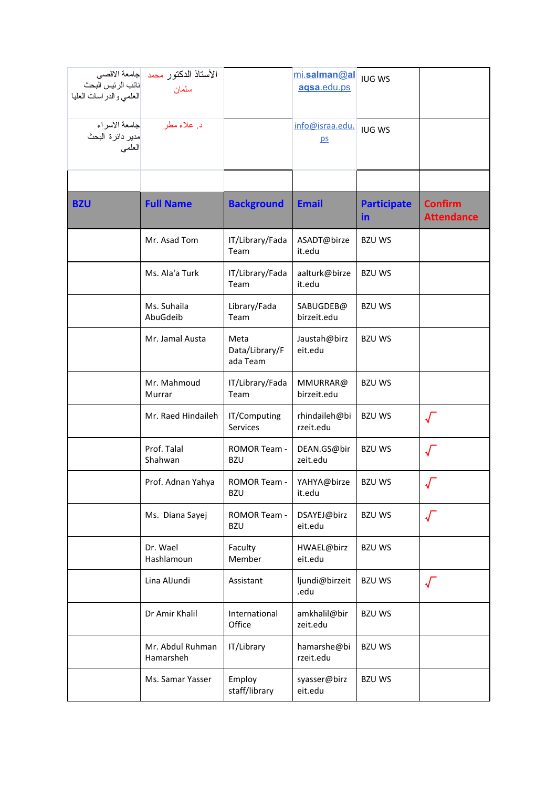|                                               | الأستاذ الدكتور محمد  جامعة الاقصى |                         | mi.salman@al    | <b>IUG WS</b>      |                   |
|-----------------------------------------------|------------------------------------|-------------------------|-----------------|--------------------|-------------------|
| نائب الرئيس البحث<br>العلمي والدر اسات العليا | سلمان                              |                         | agsa.edu.ps     |                    |                   |
|                                               |                                    |                         |                 |                    |                   |
|                                               |                                    |                         | info@israa.edu. |                    |                   |
| مدير دائرة البحث                              |                                    |                         | DS              | <b>IUG WS</b>      |                   |
| العلمى                                        |                                    |                         |                 |                    |                   |
|                                               |                                    |                         |                 |                    |                   |
|                                               |                                    |                         |                 |                    |                   |
| <b>BZU</b>                                    | <b>Full Name</b>                   | <b>Background</b>       | <b>Email</b>    | <b>Participate</b> | <b>Confirm</b>    |
|                                               |                                    |                         |                 | in                 | <b>Attendance</b> |
|                                               | Mr. Asad Tom                       | IT/Library/Fada         | ASADT@birze     | <b>BZU WS</b>      |                   |
|                                               |                                    | Team                    | it.edu          |                    |                   |
|                                               | Ms. Ala'a Turk                     |                         | aalturk@birze   | <b>BZU WS</b>      |                   |
|                                               |                                    | IT/Library/Fada<br>Team | it.edu          |                    |                   |
|                                               | Ms. Suhaila                        | Library/Fada            | SABUGDEB@       | <b>BZU WS</b>      |                   |
|                                               | AbuGdeib                           | Team                    | birzeit.edu     |                    |                   |
|                                               | Mr. Jamal Austa                    | Meta                    | Jaustah@birz    | <b>BZU WS</b>      |                   |
|                                               |                                    | Data/Library/F          | eit.edu         |                    |                   |
|                                               |                                    | ada Team                |                 |                    |                   |
|                                               | Mr. Mahmoud                        | IT/Library/Fada         | MMURRAR@        | <b>BZU WS</b>      |                   |
|                                               | Murrar                             | Team                    | birzeit.edu     |                    |                   |
|                                               | Mr. Raed Hindaileh                 | IT/Computing            | rhindaileh@bi   | <b>BZU WS</b>      |                   |
|                                               |                                    | Services                | rzeit.edu       |                    |                   |
|                                               | Prof. Talal                        | ROMOR Team -            | DEAN.GS@bir     | <b>BZU WS</b>      |                   |
|                                               | Shahwan                            | <b>BZU</b>              | zeit.edu        |                    |                   |
|                                               | Prof. Adnan Yahya                  | ROMOR Team -            | YAHYA@birze     | <b>BZU WS</b>      |                   |
|                                               |                                    | <b>BZU</b>              | it.edu          |                    |                   |
|                                               | Ms. Diana Sayej                    | ROMOR Team -            | DSAYEJ@birz     | <b>BZU WS</b>      |                   |
|                                               |                                    | <b>BZU</b>              | eit.edu         |                    |                   |
|                                               | Dr. Wael                           | Faculty                 | HWAEL@birz      | <b>BZUWS</b>       |                   |
|                                               | Hashlamoun                         | Member                  | eit.edu         |                    |                   |
|                                               | Lina AlJundi                       | Assistant               | ljundi@birzeit  | <b>BZU WS</b>      |                   |
|                                               |                                    |                         | .edu            |                    | $\sqrt$           |
|                                               | Dr Amir Khalil                     | International           | amkhalil@bir    | <b>BZU WS</b>      |                   |
|                                               |                                    | Office                  | zeit.edu        |                    |                   |
|                                               | Mr. Abdul Ruhman                   | IT/Library              | hamarshe@bi     | <b>BZU WS</b>      |                   |
|                                               | Hamarsheh                          |                         | rzeit.edu       |                    |                   |
|                                               | Ms. Samar Yasser                   | Employ                  | syasser@birz    | <b>BZU WS</b>      |                   |
|                                               |                                    | staff/library           | eit.edu         |                    |                   |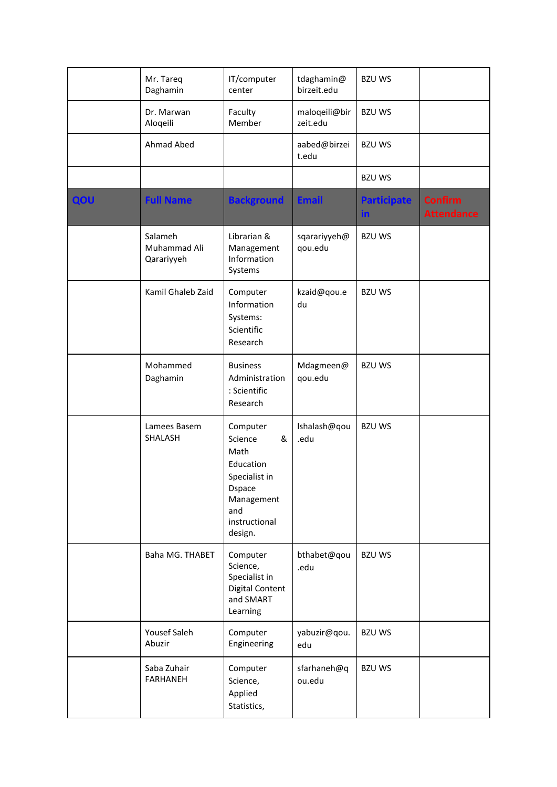|     | Mr. Tareq<br>Daghamin                 | IT/computer<br>center                                                                                                             | tdaghamin@<br>birzeit.edu | <b>BZU WS</b>             |                                     |
|-----|---------------------------------------|-----------------------------------------------------------------------------------------------------------------------------------|---------------------------|---------------------------|-------------------------------------|
|     | Dr. Marwan<br>Aloqeili                | Faculty<br>Member                                                                                                                 | maloqeili@bir<br>zeit.edu | <b>BZU WS</b>             |                                     |
|     | Ahmad Abed                            |                                                                                                                                   | aabed@birzei<br>t.edu     | <b>BZU WS</b>             |                                     |
|     |                                       |                                                                                                                                   |                           | <b>BZU WS</b>             |                                     |
| QOU | <b>Full Name</b>                      | <b>Background</b>                                                                                                                 | <b>Email</b>              | <b>Participate</b><br>in. | <b>Confirm</b><br><b>Attendance</b> |
|     | Salameh<br>Muhammad Ali<br>Qarariyyeh | Librarian &<br>Management<br>Information<br>Systems                                                                               | sqarariyyeh@<br>qou.edu   | <b>BZU WS</b>             |                                     |
|     | Kamil Ghaleb Zaid                     | Computer<br>Information<br>Systems:<br>Scientific<br>Research                                                                     | kzaid@qou.e<br>du         | <b>BZU WS</b>             |                                     |
|     | Mohammed<br>Daghamin                  | <b>Business</b><br>Administration<br>: Scientific<br>Research                                                                     | Mdagmeen@<br>qou.edu      | <b>BZU WS</b>             |                                     |
|     | Lamees Basem<br>SHALASH               | Computer<br>Science<br>&<br>Math<br>Education<br>Specialist in<br><b>D</b> space<br>Management<br>and<br>instructional<br>design. | Ishalash@qou<br>.edu      | <b>BZU WS</b>             |                                     |
|     | Baha MG. THABET                       | Computer<br>Science,<br>Specialist in<br><b>Digital Content</b><br>and SMART<br>Learning                                          | bthabet@qou<br>.edu       | <b>BZU WS</b>             |                                     |
|     | Yousef Saleh<br>Abuzir                | Computer<br>Engineering                                                                                                           | yabuzir@qou.<br>edu       | <b>BZU WS</b>             |                                     |
|     | Saba Zuhair<br><b>FARHANEH</b>        | Computer<br>Science,<br>Applied<br>Statistics,                                                                                    | sfarhaneh@q<br>ou.edu     | <b>BZU WS</b>             |                                     |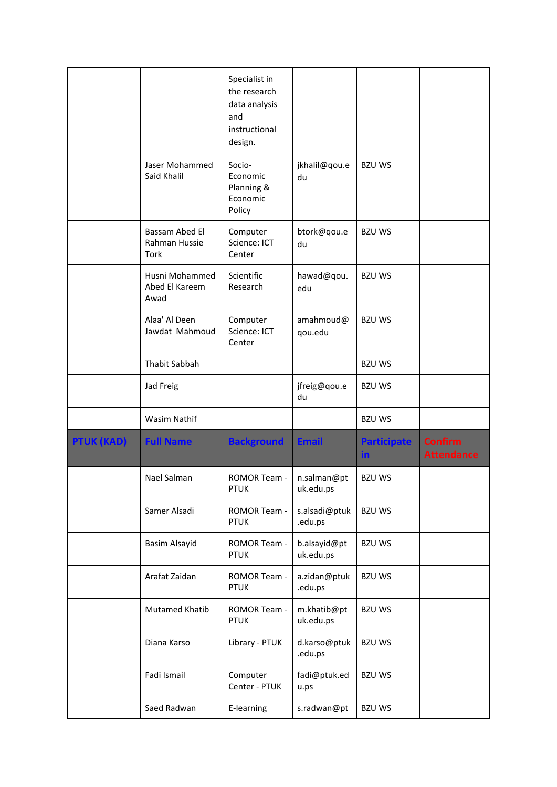|                   |                                          | Specialist in<br>the research<br>data analysis<br>and<br>instructional<br>design. |                           |                           |                                     |
|-------------------|------------------------------------------|-----------------------------------------------------------------------------------|---------------------------|---------------------------|-------------------------------------|
|                   | Jaser Mohammed<br>Said Khalil            | Socio-<br>Economic<br>Planning &<br>Economic<br>Policy                            | jkhalil@qou.e<br>du       | <b>BZU WS</b>             |                                     |
|                   | Bassam Abed El<br>Rahman Hussie<br>Tork  | Computer<br>Science: ICT<br>Center                                                | btork@qou.e<br>du         | <b>BZU WS</b>             |                                     |
|                   | Husni Mohammed<br>Abed El Kareem<br>Awad | Scientific<br>Research                                                            | hawad@qou.<br>edu         | <b>BZU WS</b>             |                                     |
|                   | Alaa' Al Deen<br>Jawdat Mahmoud          | Computer<br>Science: ICT<br>Center                                                | amahmoud@<br>qou.edu      | <b>BZU WS</b>             |                                     |
|                   | Thabit Sabbah                            |                                                                                   |                           | <b>BZUWS</b>              |                                     |
|                   | Jad Freig                                |                                                                                   | jfreig@qou.e<br>du        | <b>BZU WS</b>             |                                     |
|                   | Wasim Nathif                             |                                                                                   |                           | <b>BZU WS</b>             |                                     |
| <b>PTUK (KAD)</b> | <b>Full Name</b>                         | <b>Background</b>                                                                 | <b>Email</b>              | <b>Participate</b><br>in. | <b>Confirm</b><br><b>Attendance</b> |
|                   | Nael Salman                              | ROMOR Team -<br><b>PTUK</b>                                                       | n.salman@pt<br>uk.edu.ps  | <b>BZU WS</b>             |                                     |
|                   | Samer Alsadi                             | ROMOR Team -<br><b>PTUK</b>                                                       | s.alsadi@ptuk<br>.edu.ps  | <b>BZU WS</b>             |                                     |
|                   | Basim Alsayid                            | ROMOR Team -<br><b>PTUK</b>                                                       | b.alsayid@pt<br>uk.edu.ps | <b>BZU WS</b>             |                                     |
|                   | Arafat Zaidan                            | ROMOR Team -<br><b>PTUK</b>                                                       | a.zidan@ptuk<br>.edu.ps   | <b>BZU WS</b>             |                                     |
|                   | <b>Mutamed Khatib</b>                    | ROMOR Team -<br><b>PTUK</b>                                                       | m.khatib@pt<br>uk.edu.ps  | <b>BZU WS</b>             |                                     |
|                   | Diana Karso                              | Library - PTUK                                                                    | d.karso@ptuk<br>.edu.ps   | <b>BZU WS</b>             |                                     |
|                   | Fadi Ismail                              | Computer<br>Center - PTUK                                                         | fadi@ptuk.ed<br>u.ps      | <b>BZU WS</b>             |                                     |
|                   | Saed Radwan                              | E-learning                                                                        | s.radwan@pt               | <b>BZU WS</b>             |                                     |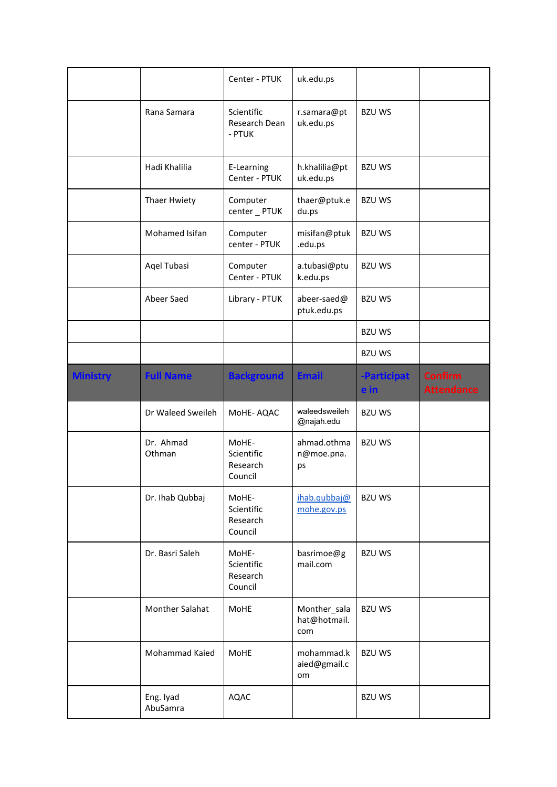|                 |                     | Center - PTUK                              | uk.edu.ps                           |                     |                                     |
|-----------------|---------------------|--------------------------------------------|-------------------------------------|---------------------|-------------------------------------|
|                 | Rana Samara         | Scientific<br>Research Dean<br>- PTUK      | r.samara@pt<br>uk.edu.ps            | <b>BZU WS</b>       |                                     |
|                 | Hadi Khalilia       | E-Learning<br>Center - PTUK                | h.khalilia@pt<br>uk.edu.ps          | <b>BZU WS</b>       |                                     |
|                 | Thaer Hwiety        | Computer<br>center _ PTUK                  | thaer@ptuk.e<br>du.ps               | <b>BZU WS</b>       |                                     |
|                 | Mohamed Isifan      | Computer<br>center - PTUK                  | misifan@ptuk<br>.edu.ps             | <b>BZU WS</b>       |                                     |
|                 | Aqel Tubasi         | Computer<br>Center - PTUK                  | a.tubasi@ptu<br>k.edu.ps            | <b>BZU WS</b>       |                                     |
|                 | Abeer Saed          | Library - PTUK                             | abeer-saed@<br>ptuk.edu.ps          | <b>BZU WS</b>       |                                     |
|                 |                     |                                            |                                     | <b>BZU WS</b>       |                                     |
|                 |                     |                                            |                                     | <b>BZU WS</b>       |                                     |
| <b>Ministry</b> | <b>Full Name</b>    | <b>Background</b>                          | <b>Email</b>                        | -Participat<br>e in | <b>Confirm</b><br><b>Attendance</b> |
|                 |                     |                                            |                                     |                     |                                     |
|                 | Dr Waleed Sweileh   | MoHE-AQAC                                  | waleedsweileh<br>@najah.edu         | <b>BZU WS</b>       |                                     |
|                 | Dr. Ahmad<br>Othman | MoHE-<br>Scientific<br>Research<br>Council | ahmad.othma<br>n@moe.pna.<br>ps     | <b>BZU WS</b>       |                                     |
|                 | Dr. Ihab Qubbaj     | MoHE-<br>Scientific<br>Research<br>Council | ihab.qubbaj@<br>mohe.gov.ps         | <b>BZU WS</b>       |                                     |
|                 | Dr. Basri Saleh     | MoHE-<br>Scientific<br>Research<br>Council | basrimoe@g<br>mail.com              | <b>BZU WS</b>       |                                     |
|                 | Monther Salahat     | MoHE                                       | Monther_sala<br>hat@hotmail.<br>com | <b>BZU WS</b>       |                                     |
|                 | Mohammad Kaied      | MoHE                                       | mohammad.k<br>aied@gmail.c<br>om    | <b>BZU WS</b>       |                                     |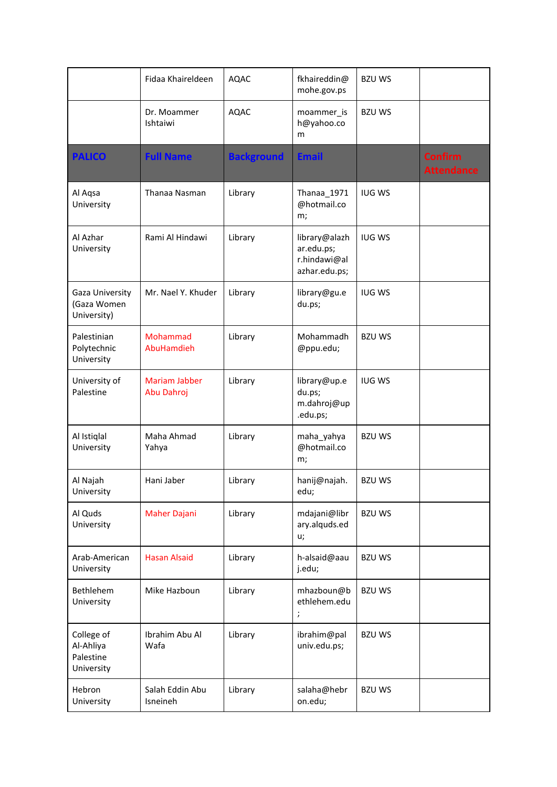|                                                    | Fidaa Khaireldeen                  | <b>AQAC</b>       | fkhaireddin@<br>mohe.gov.ps                                                                   | <b>BZU WS</b> |                                     |
|----------------------------------------------------|------------------------------------|-------------------|-----------------------------------------------------------------------------------------------|---------------|-------------------------------------|
|                                                    | Dr. Moammer<br>Ishtaiwi            | <b>AQAC</b>       | moammer_is<br>h@yahoo.co<br>m                                                                 | <b>BZU WS</b> |                                     |
| <b>PALICO</b>                                      | <b>Full Name</b>                   | <b>Background</b> | <b>Email</b>                                                                                  |               | <b>Confirm</b><br><b>Attendance</b> |
| Al Aqsa<br>University                              | Thanaa Nasman                      | Library           | Thanaa 1971<br>@hotmail.co<br>m;                                                              | <b>IUG WS</b> |                                     |
| Al Azhar<br>University                             | Rami Al Hindawi                    | Library           | library@alazh<br>ar.edu.ps;<br>r.hindawi@al<br>azhar.edu.ps;                                  | <b>IUG WS</b> |                                     |
| Gaza University<br>(Gaza Women<br>University)      | Mr. Nael Y. Khuder                 | Library           | library@gu.e<br>du.ps;                                                                        | <b>IUG WS</b> |                                     |
| Palestinian<br>Polytechnic<br>University           | Mohammad<br>AbuHamdieh             | Library           | Mohammadh<br>@ppu.edu;                                                                        | <b>BZU WS</b> |                                     |
| University of<br>Palestine                         | <b>Mariam Jabber</b><br>Abu Dahroj | Library           | library@up.e<br>du.ps;<br>m.dahroj@up<br>.edu.ps;                                             | <b>IUG WS</b> |                                     |
| Al Istiqlal<br>University                          | Maha Ahmad<br>Yahya                | Library           | maha_yahya<br>@hotmail.co<br>m;                                                               | <b>BZU WS</b> |                                     |
| Al Najah<br>University                             | Hani Jaber                         | Library           | hanij@najah.<br>edu;                                                                          | <b>BZU WS</b> |                                     |
| Al Quds<br>University                              | <b>Maher Dajani</b>                | Library           | mdajani@libr<br>ary.alquds.ed<br>u;                                                           | <b>BZU WS</b> |                                     |
| Arab-American<br>University                        | <b>Hasan Alsaid</b>                | Library           | h-alsaid@aau<br>j.edu;                                                                        | <b>BZU WS</b> |                                     |
| Bethlehem<br>University                            | Mike Hazboun                       | Library           | mhazboun@b<br>ethlehem.edu<br>;<br>$% \left( \left\langle \cdot ,\cdot \right\rangle \right)$ | <b>BZU WS</b> |                                     |
| College of<br>Al-Ahliya<br>Palestine<br>University | Ibrahim Abu Al<br>Wafa             | Library           | ibrahim@pal<br>univ.edu.ps;                                                                   | <b>BZU WS</b> |                                     |
| Hebron<br>University                               | Salah Eddin Abu<br>Isneineh        | Library           | salaha@hebr<br>on.edu;                                                                        | <b>BZU WS</b> |                                     |